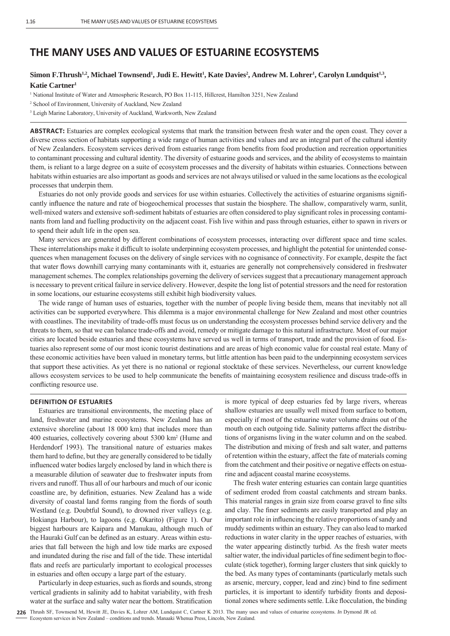# **THE MANY USES AND VALUES OF ESTUARINE ECOSYSTEMS**

# $\bf{Simon}$  **F.Thrush<sup>1,2</sup>, Michael Townsend<sup>1</sup>, Judi E. Hewitt<sup>1</sup>, Kate Davies<sup>2</sup>, Andrew M. Lohrer<sup>1</sup>, Carolyn Lundquist<sup>1,3</sup>, Katie Cartner1**

<sup>1</sup> National Institute of Water and Atmospheric Research, PO Box 11-115, Hillcrest, Hamilton 3251, New Zealand

<sup>3</sup> Leigh Marine Laboratory, University of Auckland, Warkworth, New Zealand

**ABSTRACT:** Estuaries are complex ecological systems that mark the transition between fresh water and the open coast. They cover a diverse cross section of habitats supporting a wide range of human activities and values and are an integral part of the cultural identity of New Zealanders. Ecosystem services derived from estuaries range from benefits from food production and recreation opportunities to contaminant processing and cultural identity. The diversity of estuarine goods and services, and the ability of ecosystems to maintain them, is reliant to a large degree on a suite of ecosystem processes and the diversity of habitats within estuaries. Connections between habitats within estuaries are also important as goods and services are not always utilised or valued in the same locations as the ecological processes that underpin them.

Estuaries do not only provide goods and services for use within estuaries. Collectively the activities of estuarine organisms significantly influence the nature and rate of biogeochemical processes that sustain the biosphere. The shallow, comparatively warm, sunlit, well-mixed waters and extensive soft-sediment habitats of estuaries are often considered to play significant roles in processing contaminants from land and fuelling productivity on the adjacent coast. Fish live within and pass through estuaries, either to spawn in rivers or to spend their adult life in the open sea.

Many services are generated by different combinations of ecosystem processes, interacting over different space and time scales. These interrelationships make it difficult to isolate underpinning ecosystem processes, and highlight the potential for unintended consequences when management focuses on the delivery of single services with no cognisance of connectivity. For example, despite the fact that water flows downhill carrying many contaminants with it, estuaries are generally not comprehensively considered in freshwater management schemes. The complex relationships governing the delivery of services suggest that a precautionary management approach is necessary to prevent critical failure in service delivery. However, despite the long list of potential stressors and the need for restoration in some locations, our estuarine ecosystems still exhibit high biodiversity values.

The wide range of human uses of estuaries, together with the number of people living beside them, means that inevitably not all activities can be supported everywhere. This dilemma is a major environmental challenge for New Zealand and most other countries with coastlines. The inevitability of trade-offs must focus us on understanding the ecosystem processes behind service delivery and the threats to them, so that we can balance trade-offs and avoid, remedy or mitigate damage to this natural infrastructure. Most of our major cities are located beside estuaries and these ecosystems have served us well in terms of transport, trade and the provision of food. Estuaries also represent some of our most iconic tourist destinations and are areas of high economic value for coastal real estate. Many of these economic activities have been valued in monetary terms, but little attention has been paid to the underpinning ecosystem services that support these activities. As yet there is no national or regional stocktake of these services. Nevertheless, our current knowledge allows ecosystem services to be used to help communicate the benefits of maintaining ecosystem resilience and discuss trade-offs in conflicting resource use.

# **DEFINITION OF ESTUARIES**

Estuaries are transitional environments, the meeting place of land, freshwater and marine ecosystems. New Zealand has an extensive shoreline (about 18 000 km) that includes more than 400 estuaries, collectively covering about 5300 km2 (Hume and Herdendorf 1993). The transitional nature of estuaries makes them hard to define, but they are generally considered to be tidally influenced water bodies largely enclosed by land in which there is a measurable dilution of seawater due to freshwater inputs from rivers and runoff. Thus all of our harbours and much of our iconic coastline are, by definition, estuaries. New Zealand has a wide diversity of coastal land forms ranging from the fiords of south Westland (e.g. Doubtful Sound), to drowned river valleys (e.g. Hokianga Harbour), to lagoons (e.g. Okarito) (Figure 1). Our biggest harbours are Kaipara and Manukau, although much of the Hauraki Gulf can be defined as an estuary. Areas within estuaries that fall between the high and low tide marks are exposed and inundated during the rise and fall of the tide. These intertidal flats and reefs are particularly important to ecological processes in estuaries and often occupy a large part of the estuary.

Particularly in deep estuaries, such as fiords and sounds, strong vertical gradients in salinity add to habitat variability, with fresh water at the surface and salty water near the bottom. Stratification is more typical of deep estuaries fed by large rivers, whereas shallow estuaries are usually well mixed from surface to bottom, especially if most of the estuarine water volume drains out of the mouth on each outgoing tide. Salinity patterns affect the distributions of organisms living in the water column and on the seabed. The distribution and mixing of fresh and salt water, and patterns of retention within the estuary, affect the fate of materials coming from the catchment and their positive or negative effects on estuarine and adjacent coastal marine ecosystems.

The fresh water entering estuaries can contain large quantities of sediment eroded from coastal catchments and stream banks. This material ranges in grain size from coarse gravel to fine silts and clay. The finer sediments are easily transported and play an important role in influencing the relative proportions of sandy and muddy sediments within an estuary. They can also lead to marked reductions in water clarity in the upper reaches of estuaries, with the water appearing distinctly turbid. As the fresh water meets saltier water, the individual particles of fine sediment begin to flocculate (stick together), forming larger clusters that sink quickly to the bed. As many types of contaminants (particularly metals such as arsenic, mercury, copper, lead and zinc) bind to fine sediment particles, it is important to identify turbidity fronts and depositional zones where sediments settle. Like flocculation, the binding

<sup>2</sup> School of Environment, University of Auckland, New Zealand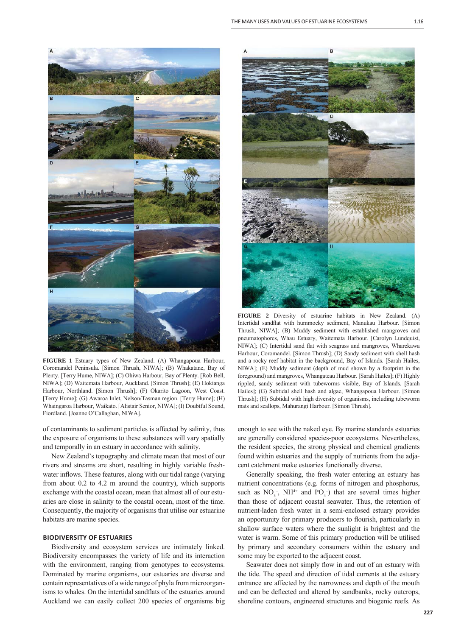

**FIGURE 1** Estuary types of New Zealand. (A) Whangapoua Harbour, Coromandel Peninsula. [Simon Thrush, NIWA]; (B) Whakatane, Bay of Plenty. [Terry Hume, NIWA]; (C) Ohiwa Harbour, Bay of Plenty. [Rob Bell, NIWA]; (D) Waitemata Harbour, Auckland. [Simon Thrush]; (E) Hokianga Harbour, Northland. [Simon Thrush]; (F) Okarito Lagoon, West Coast. [Terry Hume]; (G) Awaroa Inlet, Nelson/Tasman region. [Terry Hume]; (H) Whaingaroa Harbour, Waikato. [Alistair Senior, NIWA]; (I) Doubtful Sound, Fiordland. [Joanne O'Callaghan, NIWA].

of contaminants to sediment particles is affected by salinity, thus the exposure of organisms to these substances will vary spatially and temporally in an estuary in accordance with salinity.

New Zealand's topography and climate mean that most of our rivers and streams are short, resulting in highly variable freshwater inflows. These features, along with our tidal range (varying from about 0.2 to 4.2 m around the country), which supports exchange with the coastal ocean, mean that almost all of our estuaries are close in salinity to the coastal ocean, most of the time. Consequently, the majority of organisms that utilise our estuarine habitats are marine species.

#### **BIODIVERSITY OF ESTUARIES**

Biodiversity and ecosystem services are intimately linked. Biodiversity encompasses the variety of life and its interaction with the environment, ranging from genotypes to ecosystems. Dominated by marine organisms, our estuaries are diverse and contain representatives of a wide range of phyla from microorganisms to whales. On the intertidal sandflats of the estuaries around Auckland we can easily collect 200 species of organisms big



**FIGURE 2** Diversity of estuarine habitats in New Zealand. (A) Intertidal sandflat with hummocky sediment, Manukau Harbour. [Simon Thrush, NIWA]; (B) Muddy sediment with established mangroves and pneumatophores, Whau Estuary, Waitemata Harbour. [Carolyn Lundquist, NIWA]; (C) Intertidal sand flat with seagrass and mangroves, Wharekawa Harbour, Coromandel. [Simon Thrush]; (D) Sandy sediment with shell hash and a rocky reef habitat in the background, Bay of Islands. [Sarah Hailes, NIWA]; (E) Muddy sediment (depth of mud shown by a footprint in the foreground) and mangroves, Whangateau Harbour. [Sarah Hailes]; (F) Highly rippled, sandy sediment with tubeworms visible, Bay of Islands. [Sarah Hailes]; (G) Subtidal shell hash and algae, Whangapoua Harbour. [Simon Thrush]; (H) Subtidal with high diversity of organisms, including tubeworm mats and scallops, Mahurangi Harbour. [Simon Thrush].

enough to see with the naked eye. By marine standards estuaries are generally considered species-poor ecosystems. Nevertheless, the resident species, the strong physical and chemical gradients found within estuaries and the supply of nutrients from the adjacent catchment make estuaries functionally diverse.

Generally speaking, the fresh water entering an estuary has nutrient concentrations (e.g. forms of nitrogen and phosphorus, such as  $NO_3^-$ ,  $NH^{4+}$  and  $PO_4^-$ ) that are several times higher than those of adjacent coastal seawater. Thus, the retention of nutrient-laden fresh water in a semi-enclosed estuary provides an opportunity for primary producers to flourish, particularly in shallow surface waters where the sunlight is brightest and the water is warm. Some of this primary production will be utilised by primary and secondary consumers within the estuary and some may be exported to the adjacent coast.

Seawater does not simply flow in and out of an estuary with the tide. The speed and direction of tidal currents at the estuary entrance are affected by the narrowness and depth of the mouth and can be deflected and altered by sandbanks, rocky outcrops, shoreline contours, engineered structures and biogenic reefs. As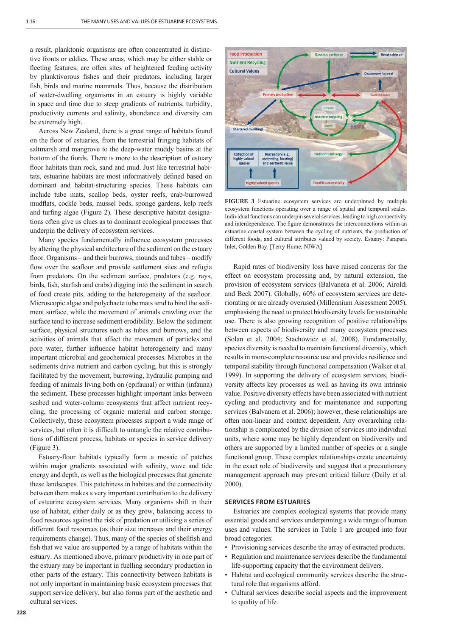a result, planktonic organisms are often concentrated in distinctive fronts or eddies. These areas, which may be either stable or fleeting features, are often sites of heightened feeding activity by planktivorous fishes and their predators, including larger fish, birds and marine mammals. Thus, because the distribution of water-dwelling organisms in an estuary is highly variable in space and time due to steep gradients of nutrients, turbidity, productivity currents and salinity, abundance and diversity can be extremely high.

Across New Zealand, there is a great range of habitats found on the floor of estuaries, from the terrestrial fringing habitats of saltmarsh and mangrove to the deep-water muddy basins at the bottom of the fiords. There is more to the description of estuary floor habitats than rock, sand and mud. Just like terrestrial habitats, estuarine habitats are most informatively defined based on dominant and habitat-structuring species. These habitats can include tube mats, scallop beds, oyster reefs, crab-burrowed mudflats, cockle beds, mussel beds, sponge gardens, kelp reefs and turfing algae (Figure 2). These descriptive habitat designations often give us clues as to dominant ecological processes that underpin the delivery of ecosystem services.

Many species fundamentally influence ecosystem processes by altering the physical architecture of the sediment on the estuary floor. Organisms – and their burrows, mounds and tubes – modify flow over the seafloor and provide settlement sites and refugia from predators. On the sediment surface, predators (e.g. rays, birds, fish, starfish and crabs) digging into the sediment in search of food create pits, adding to the heterogeneity of the seafloor. Microscopic algae and polychaete tube mats tend to bind the sediment surface, while the movement of animals crawling over the surface tend to increase sediment erodibility. Below the sediment surface, physical structures such as tubes and burrows, and the activities of animals that affect the movement of particles and pore water, further influence habitat heterogeneity and many important microbial and geochemical processes. Microbes in the sediments drive nutrient and carbon cycling, but this is strongly facilitated by the movement, burrowing, hydraulic pumping and feeding of animals living both on (epifaunal) or within (infauna) the sediment. These processes highlight important links between seabed and water-column ecosystems that affect nutrient recycling, the processing of organic material and carbon storage. Collectively, these ecosystem processes support a wide range of services, but often it is difficult to untangle the relative contributions of different process, habitats or species in service delivery (Figure 3).

Estuary-floor habitats typically form a mosaic of patches within major gradients associated with salinity, wave and tide energy and depth, as well as the biological processes that generate these landscapes. This patchiness in habitats and the connectivity between them makes a very important contribution to the delivery of estuarine ecosystem services. Many organisms shift in their use of habitat, either daily or as they grow, balancing access to food resources against the risk of predation or utilising a series of different food resources (as their size increases and their energy requirements change). Thus, many of the species of shellfish and fish that we value are supported by a range of habitats within the estuary. As mentioned above, primary productivity in one part of the estuary may be important in fuelling secondary production in other parts of the estuary. This connectivity between habitats is not only important in maintaining basic ecosystem processes that support service delivery, but also forms part of the aesthetic and cultural services.



**FIGURE 3** Estuarine ecosystem services are underpinned by multiple ecosystem functions operating over a range of spatial and temporal scales. Individual functions can underpin several services, leading to high connectivity and interdependence. The figure demonstrates the interconnections within an estuarine coastal system between the cycling of nutrients, the production of different foods, and cultural attributes valued by society. Estuary: Parapara Inlet, Golden Bay. [Terry Hume, NIWA]

Rapid rates of biodiversity loss have raised concerns for the effect on ecosystem processing and, by natural extension, the provision of ecosystem services (Balvanera et al. 2006; Airoldi and Beck 2007). Globally, 60% of ecosystem services are deteriorating or are already overused (Millennium Assessment 2005), emphasising the need to protect biodiversity levels for sustainable use. There is also growing recognition of positive relationships between aspects of biodiversity and many ecosystem processes (Solan et al. 2004; Stachowicz et al. 2008). Fundamentally, species diversity is needed to maintain functional diversity, which results in more-complete resource use and provides resilience and temporal stability through functional compensation (Walker et al. 1999). In supporting the delivery of ecosystem services, biodiversity affects key processes as well as having its own intrinsic value. Positive diversity effects have been associated with nutrient cycling and productivity and for maintenance and supporting services (Balvanera et al. 2006); however, these relationships are often non-linear and context dependent. Any overarching relationship is complicated by the division of services into individual units, where some may be highly dependent on biodiversity and others are supported by a limited number of species or a single functional group. These complex relationships create uncertainty in the exact role of biodiversity and suggest that a precautionary management approach may prevent critical failure (Daily et al. 2000).

#### **SERVICES FROM ESTUARIES**

Estuaries are complex ecological systems that provide many essential goods and services underpinning a wide range of human uses and values. The services in Table 1 are grouped into four broad categories:

- Provisioning services describe the array of extracted products.
- Regulation and maintenance services describe the fundamental life-supporting capacity that the environment delivers.
- Habitat and ecological community services describe the structural role that organisms afford.
- Cultural services describe social aspects and the improvement to quality of life.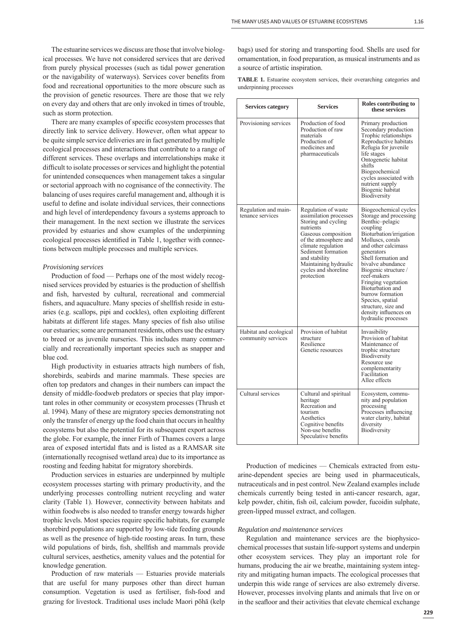The estuarine services we discuss are those that involve biological processes. We have not considered services that are derived from purely physical processes (such as tidal power generation or the navigability of waterways). Services cover benefits from food and recreational opportunities to the more obscure such as the provision of genetic resources. There are those that we rely on every day and others that are only invoked in times of trouble, such as storm protection.

There are many examples of specific ecosystem processes that directly link to service delivery. However, often what appear to be quite simple service deliveries are in fact generated by multiple ecological processes and interactions that contribute to a range of different services. These overlaps and interrelationships make it difficult to isolate processes or services and highlight the potential for unintended consequences when management takes a singular or sectorial approach with no cognisance of the connectivity. The balancing of uses requires careful management and, although it is useful to define and isolate individual services, their connections and high level of interdependency favours a systems approach to their management. In the next section we illustrate the services provided by estuaries and show examples of the underpinning ecological processes identified in Table 1, together with connections between multiple processes and multiple services.

### *Provisioning services*

Production of food — Perhaps one of the most widely recognised services provided by estuaries is the production of shellfish and fish, harvested by cultural, recreational and commercial fishers, and aquaculture. Many species of shellfish reside in estuaries (e.g. scallops, pipi and cockles), often exploiting different habitats at different life stages. Many species of fish also utilise our estuaries; some are permanent residents, others use the estuary to breed or as juvenile nurseries. This includes many commercially and recreationally important species such as snapper and blue cod.

High productivity in estuaries attracts high numbers of fish, shorebirds, seabirds and marine mammals. These species are often top predators and changes in their numbers can impact the density of middle-foodweb predators or species that play important roles in other community or ecosystem processes (Thrush et al. 1994). Many of these are migratory species demonstrating not only the transfer of energy up the food chain that occurs in healthy ecosystems but also the potential for its subsequent export across the globe. For example, the inner Firth of Thames covers a large area of exposed intertidal flats and is listed as a RAMSAR site (internationally recognised wetland area) due to its importance as roosting and feeding habitat for migratory shorebirds.

Production services in estuaries are underpinned by multiple ecosystem processes starting with primary productivity, and the underlying processes controlling nutrient recycling and water clarity (Table 1). However, connectivity between habitats and within foodwebs is also needed to transfer energy towards higher trophic levels. Most species require specific habitats, for example shorebird populations are supported by low-tide feeding grounds as well as the presence of high-tide roosting areas. In turn, these wild populations of birds, fish, shellfish and mammals provide cultural services, aesthetics, amenity values and the potential for knowledge generation.

Production of raw materials — Estuaries provide materials that are useful for many purposes other than direct human consumption. Vegetation is used as fertiliser, fish-food and grazing for livestock. Traditional uses include Maori pōhā (kelp bags) used for storing and transporting food. Shells are used for ornamentation, in food preparation, as musical instruments and as a source of artistic inspiration.

**TABLE 1.** Estuarine ecosystem services, their overarching categories and underpinning processes

| <b>Services category</b>                     | <b>Services</b>                                                                                                                                                                                                                                               | Roles contributing to<br>these services                                                                                                                                                                                                                                                                                                                                                                         |
|----------------------------------------------|---------------------------------------------------------------------------------------------------------------------------------------------------------------------------------------------------------------------------------------------------------------|-----------------------------------------------------------------------------------------------------------------------------------------------------------------------------------------------------------------------------------------------------------------------------------------------------------------------------------------------------------------------------------------------------------------|
| Provisioning services                        | Production of food<br>Production of raw<br>materials<br>Production of<br>medicines and<br>pharmaceuticals                                                                                                                                                     | Primary production<br>Secondary production<br>Trophic relationships<br>Reproductive habitats<br>Refugia for juvenile<br>life stages<br>Ontogenetic habitat<br>shifts<br>Biogeochemical<br>cycles associated with<br>nutrient supply<br>Biogenic habitat<br>Biodiversity                                                                                                                                         |
| Regulation and main-<br>tenance services     | Regulation of waste<br>assimilation processes<br>Storing and cycling<br>nutrients<br>Gaseous composition<br>of the atmosphere and<br>climate regulation<br>Sediment formation<br>and stability<br>Maintaining hydraulic<br>cycles and shoreline<br>protection | Biogeochemical cycles<br>Storage and processing<br>Benthic-pelagic<br>coupling<br>Bioturbation/irrigation<br>Molluscs, corals<br>and other calcimass<br>generators<br>Shell formation and<br>bivalve abundance<br>Biogenic structure /<br>reef-makers<br>Fringing vegetation<br>Bioturbation and<br>burrow formation<br>Species, spatial<br>structure, size and<br>density influences on<br>hydraulic processes |
| Habitat and ecological<br>community services | Provision of habitat<br>structure<br>Resilience<br>Genetic resources                                                                                                                                                                                          | Invasibility<br>Provision of habitat<br>Maintenance of<br>trophic structure<br>Biodiversity<br>Resource use<br>complementarity<br>Facilitation<br>Allee effects                                                                                                                                                                                                                                                 |
| Cultural services                            | Cultural and spiritual<br>heritage<br>Recreation and<br>tourism<br>Aesthetics<br>Cognitive benefits<br>Non-use benefits<br>Speculative benefits                                                                                                               | Ecosystem, commu-<br>nity and population<br>processing<br>Processes influencing<br>water clarity, habitat<br>diversity<br>Biodiversity                                                                                                                                                                                                                                                                          |

Production of medicines — Chemicals extracted from estuarine-dependent species are being used in pharmaceuticals, nutraceuticals and in pest control. New Zealand examples include chemicals currently being tested in anti-cancer research, agar, kelp powder, chitin, fish oil, calcium powder, fucoidin sulphate, green-lipped mussel extract, and collagen.

#### *Regulation and maintenance services*

Regulation and maintenance services are the biophysicochemical processes that sustain life-support systems and underpin other ecosystem services. They play an important role for humans, producing the air we breathe, maintaining system integrity and mitigating human impacts. The ecological processes that underpin this wide range of services are also extremely diverse. However, processes involving plants and animals that live on or in the seafloor and their activities that elevate chemical exchange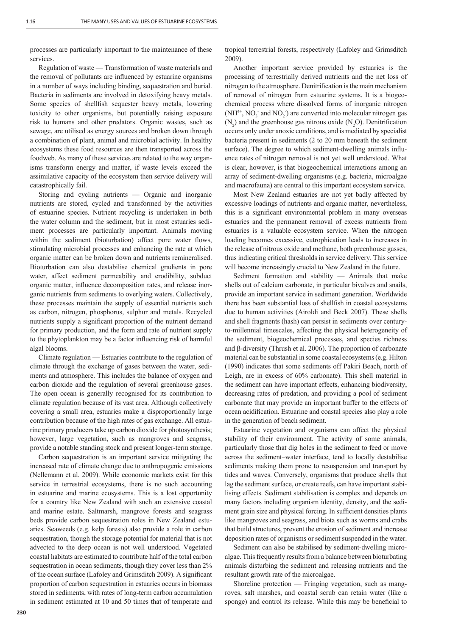processes are particularly important to the maintenance of these services.

Regulation of waste — Transformation of waste materials and the removal of pollutants are influenced by estuarine organisms in a number of ways including binding, sequestration and burial. Bacteria in sediments are involved in detoxifying heavy metals. Some species of shellfish sequester heavy metals, lowering toxicity to other organisms, but potentially raising exposure risk to humans and other predators. Organic wastes, such as sewage, are utilised as energy sources and broken down through a combination of plant, animal and microbial activity. In healthy ecosystems these food resources are then transported across the foodweb. As many of these services are related to the way organisms transform energy and matter, if waste levels exceed the assimilative capacity of the ecosystem then service delivery will catastrophically fail.

Storing and cycling nutrients — Organic and inorganic nutrients are stored, cycled and transformed by the activities of estuarine species. Nutrient recycling is undertaken in both the water column and the sediment, but in most estuaries sediment processes are particularly important. Animals moving within the sediment (bioturbation) affect pore water flows, stimulating microbial processes and enhancing the rate at which organic matter can be broken down and nutrients remineralised. Bioturbation can also destabilise chemical gradients in pore water, affect sediment permeability and erodibility, subduct organic matter, influence decomposition rates, and release inorganic nutrients from sediments to overlying waters. Collectively, these processes maintain the supply of essential nutrients such as carbon, nitrogen, phosphorus, sulphur and metals. Recycled nutrients supply a significant proportion of the nutrient demand for primary production, and the form and rate of nutrient supply to the phytoplankton may be a factor influencing risk of harmful algal blooms.

Climate regulation — Estuaries contribute to the regulation of climate through the exchange of gases between the water, sediments and atmosphere. This includes the balance of oxygen and carbon dioxide and the regulation of several greenhouse gases. The open ocean is generally recognised for its contribution to climate regulation because of its vast area. Although collectively covering a small area, estuaries make a disproportionally large contribution because of the high rates of gas exchange. All estuarine primary producers take up carbon dioxide for photosynthesis; however, large vegetation, such as mangroves and seagrass, provide a notable standing stock and present longer-term storage.

Carbon sequestration is an important service mitigating the increased rate of climate change due to anthropogenic emissions (Nellemann et al. 2009). While economic markets exist for this service in terrestrial ecosystems, there is no such accounting in estuarine and marine ecosystems. This is a lost opportunity for a country like New Zealand with such an extensive coastal and marine estate. Saltmarsh, mangrove forests and seagrass beds provide carbon sequestration roles in New Zealand estuaries. Seaweeds (e.g. kelp forests) also provide a role in carbon sequestration, though the storage potential for material that is not advected to the deep ocean is not well understood. Vegetated coastal habitats are estimated to contribute half of the total carbon sequestration in ocean sediments, though they cover less than 2% of the ocean surface (Lafoley and Grimsditch 2009). A significant proportion of carbon sequestration in estuaries occurs in biomass stored in sediments, with rates of long-term carbon accumulation in sediment estimated at 10 and 50 times that of temperate and

**230**

tropical terrestrial forests, respectively (Lafoley and Grimsditch 2009).

Another important service provided by estuaries is the processing of terrestrially derived nutrients and the net loss of nitrogen to the atmosphere. Denitrification is the main mechanism of removal of nitrogen from estuarine systems. It is a biogeochemical process where dissolved forms of inorganic nitrogen  $(NH<sup>4+</sup>, NO<sub>3</sub>$  and  $NO<sub>2</sub>$ ) are converted into molecular nitrogen gas  $(N_2)$  and the greenhouse gas nitrous oxide  $(N_2O)$ . Denitrification occurs only under anoxic conditions, and is mediated by specialist bacteria present in sediments (2 to 20 mm beneath the sediment surface). The degree to which sediment-dwelling animals influence rates of nitrogen removal is not yet well understood. What is clear, however, is that biogeochemical interactions among an array of sediment-dwelling organisms (e.g. bacteria, microalgae and macrofauna) are central to this important ecosystem service.

Most New Zealand estuaries are not yet badly affected by excessive loadings of nutrients and organic matter, nevertheless, this is a significant environmental problem in many overseas estuaries and the permanent removal of excess nutrients from estuaries is a valuable ecosystem service. When the nitrogen loading becomes excessive, eutrophication leads to increases in the release of nitrous oxide and methane, both greenhouse gasses, thus indicating critical thresholds in service delivery. This service will become increasingly crucial to New Zealand in the future.

Sediment formation and stability — Animals that make shells out of calcium carbonate, in particular bivalves and snails, provide an important service in sediment generation. Worldwide there has been substantial loss of shellfish in coastal ecosystems due to human activities (Airoldi and Beck 2007). These shells and shell fragments (hash) can persist in sediments over centuryto-millennial timescales, affecting the physical heterogeneity of the sediment, biogeochemical processes, and species richness and β-diversity (Thrush et al. 2006). The proportion of carbonate material can be substantial in some coastal ecosystems (e.g. Hilton (1990) indicates that some sediments off Pakiri Beach, north of Leigh, are in excess of 60% carbonate). This shell material in the sediment can have important effects, enhancing biodiversity, decreasing rates of predation, and providing a pool of sediment carbonate that may provide an important buffer to the effects of ocean acidification. Estuarine and coastal species also play a role in the generation of beach sediment.

Estuarine vegetation and organisms can affect the physical stability of their environment. The activity of some animals, particularly those that dig holes in the sediment to feed or move across the sediment–water interface, tend to locally destabilise sediments making them prone to resuspension and transport by tides and waves. Conversely, organisms that produce shells that lag the sediment surface, or create reefs, can have important stabilising effects. Sediment stabilisation is complex and depends on many factors including organism identity, density, and the sediment grain size and physical forcing. In sufficient densities plants like mangroves and seagrass, and biota such as worms and crabs that build structures, prevent the erosion of sediment and increase deposition rates of organisms or sediment suspended in the water.

Sediment can also be stabilised by sediment-dwelling microalgae. This frequently results from a balance between bioturbating animals disturbing the sediment and releasing nutrients and the resultant growth rate of the microalgae.

Shoreline protection — Fringing vegetation, such as mangroves, salt marshes, and coastal scrub can retain water (like a sponge) and control its release. While this may be beneficial to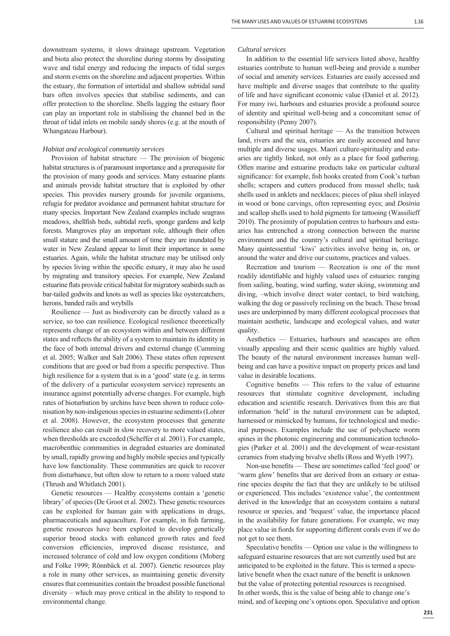downstream systems, it slows drainage upstream. Vegetation and biota also protect the shoreline during storms by dissipating wave and tidal energy and reducing the impacts of tidal surges and storm events on the shoreline and adjacent properties. Within the estuary, the formation of intertidal and shallow subtidal sand bars often involves species that stabilise sediments, and can offer protection to the shoreline. Shells lagging the estuary floor can play an important role in stabilising the channel bed in the throat of tidal inlets on mobile sandy shores (e.g. at the mouth of Whangateau Harbour).

### *Habitat and ecological community services*

Provision of habitat structure — The provision of biogenic habitat structures is of paramount importance and a prerequisite for the provision of many goods and services. Many estuarine plants and animals provide habitat structure that is exploited by other species. This provides nursery grounds for juvenile organisms, refugia for predator avoidance and permanent habitat structure for many species. Important New Zealand examples include seagrass meadows, shellfish beds, subtidal reefs, sponge gardens and kelp forests. Mangroves play an important role, although their often small stature and the small amount of time they are inundated by water in New Zealand appear to limit their importance in some estuaries. Again, while the habitat structure may be utilised only by species living within the specific estuary, it may also be used by migrating and transitory species. For example, New Zealand estuarine flats provide critical habitat for migratory seabirds such as bar-tailed godwits and knots as well as species like oystercatchers, herons, banded rails and wrybills

Resilience — Just as biodiversity can be directly valued as a service, so too can resilience. Ecological resilience theoretically represents change of an ecosystem within and between different states and reflects the ability of a system to maintain its identity in the face of both internal drivers and external change (Cumming et al. 2005; Walker and Salt 2006). These states often represent conditions that are good or bad from a specific perspective. Thus high resilience for a system that is in a 'good' state (e.g. in terms of the delivery of a particular ecosystem service) represents an insurance against potentially adverse changes. For example, high rates of bioturbation by urchins have been shown to reduce colonisation by non-indigenous species in estuarine sediments (Lohrer et al. 2008). However, the ecosystem processes that generate resilience also can result in slow recovery to more valued states, when thresholds are exceeded (Scheffer et al. 2001). For example, macrobenthic communities in degraded estuaries are dominated by small, rapidly growing and highly mobile species and typically have low functionality. These communities are quick to recover from disturbance, but often slow to return to a more valued state (Thrush and Whitlatch 2001).

Genetic resources — Healthy ecosystems contain a 'genetic library' of species (De Groot et al. 2002). These genetic resources can be exploited for human gain with applications in drugs, pharmaceuticals and aquaculture. For example, in fish farming, genetic resources have been exploited to develop genetically superior brood stocks with enhanced growth rates and feed conversion efficiencies, improved disease resistance, and increased tolerance of cold and low oxygen conditions (Moberg and Folke 1999; Rönnbäck et al. 2007). Genetic resources play a role in many other services, as maintaining genetic diversity ensures that communities contain the broadest possible functional diversity – which may prove critical in the ability to respond to environmental change.

#### *Cultural services*

In addition to the essential life services listed above, healthy estuaries contribute to human well-being and provide a number of social and amenity services. Estuaries are easily accessed and have multiple and diverse usages that contribute to the quality of life and have significant economic value (Daniel et al. 2012). For many iwi, harbours and estuaries provide a profound source of identity and spiritual well-being and a concomitant sense of responsibility (Penny 2007).

Cultural and spiritual heritage — As the transition between land, rivers and the sea, estuaries are easily accessed and have multiple and diverse usages. Maori culture-spirituality and estuaries are tightly linked, not only as a place for food gathering. Often marine and estuarine products take on particular cultural significance: for example, fish hooks created from Cook's turban shells; scrapers and cutters produced from mussel shells; tusk shells used in anklets and necklaces; pieces of pāua shell inlayed in wood or bone carvings, often representing eyes; and *Dosinia*  and scallop shells used to hold pigments for tattooing (Wassilieff 2010). The proximity of population centres to harbours and estuaries has entrenched a strong connection between the marine environment and the country's cultural and spiritual heritage. Many quintessential 'kiwi' activities involve being in, on, or around the water and drive our customs, practices and values.

Recreation and tourism — Recreation is one of the most readily identifiable and highly valued uses of estuaries: ranging from sailing, boating, wind surfing, water skiing, swimming and diving, –which involve direct water contact, to bird watching, walking the dog or passively reclining on the beach. These broad uses are underpinned by many different ecological processes that maintain aesthetic, landscape and ecological values, and water quality.

Aesthetics — Estuaries, harbours and seascapes are often visually appealing and their scenic qualities are highly valued. The beauty of the natural environment increases human wellbeing and can have a positive impact on property prices and land value in desirable locations.

Cognitive benefits  $-$  This refers to the value of estuarine resources that stimulate cognitive development, including education and scientific research. Derivatives from this are that information 'held' in the natural environment can be adapted, harnessed or mimicked by humans, for technological and medicinal purposes. Examples include the use of polychaete worm spines in the photonic engineering and communication technologies (Parker et al. 2001) and the development of wear-resistant ceramics from studying bivalve shells (Ross and Wyeth 1997).

Non-use benefits — These are sometimes called 'feel good' or 'warm glow' benefits that are derived from an estuary or estuarine species despite the fact that they are unlikely to be utilised or experienced. This includes 'existence value', the contentment derived in the knowledge that an ecosystem contains a natural resource or species, and 'bequest' value, the importance placed in the availability for future generations. For example, we may place value in fiords for supporting different corals even if we do not get to see them.

Speculative benefits — Option use value is the willingness to safeguard estuarine resources that are not currently used but are anticipated to be exploited in the future. This is termed a speculative benefit when the exact nature of the benefit is unknown but the value of protecting potential resources is recognised. In other words, this is the value of being able to change one's mind, and of keeping one's options open. Speculative and option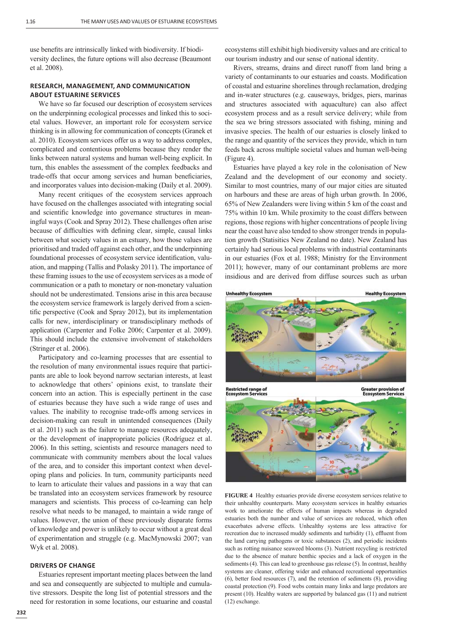use benefits are intrinsically linked with biodiversity. If biodiversity declines, the future options will also decrease (Beaumont et al. 2008).

# **RESEARCH, MANAGEMENT, AND COMMUNICATION ABOUT ESTUARINE SERVICES**

We have so far focused our description of ecosystem services on the underpinning ecological processes and linked this to societal values. However, an important role for ecosystem service thinking is in allowing for communication of concepts (Granek et al. 2010). Ecosystem services offer us a way to address complex, complicated and contentious problems because they render the links between natural systems and human well-being explicit. In turn, this enables the assessment of the complex feedbacks and trade-offs that occur among services and human beneficiaries, and incorporates values into decision-making (Daily et al. 2009).

Many recent critiques of the ecosystem services approach have focused on the challenges associated with integrating social and scientific knowledge into governance structures in meaningful ways (Cook and Spray 2012). These challenges often arise because of difficulties with defining clear, simple, causal links between what society values in an estuary, how those values are prioritised and traded off against each other, and the underpinning foundational processes of ecosystem service identification, valuation, and mapping (Tallis and Polasky 2011). The importance of these framing issues to the use of ecosystem services as a mode of communication or a path to monetary or non-monetary valuation should not be underestimated. Tensions arise in this area because the ecosystem service framework is largely derived from a scientific perspective (Cook and Spray 2012), but its implementation calls for new, interdisciplinary or transdisciplinary methods of application (Carpenter and Folke 2006; Carpenter et al. 2009). This should include the extensive involvement of stakeholders (Stringer et al. 2006).

Participatory and co-learning processes that are essential to the resolution of many environmental issues require that participants are able to look beyond narrow sectarian interests, at least to acknowledge that others' opinions exist, to translate their concern into an action. This is especially pertinent in the case of estuaries because they have such a wide range of uses and values. The inability to recognise trade-offs among services in decision-making can result in unintended consequences (Daily et al. 2011) such as the failure to manage resources adequately, or the development of inappropriate policies (Rodríguez et al. 2006). In this setting, scientists and resource managers need to communicate with community members about the local values of the area, and to consider this important context when developing plans and policies. In turn, community participants need to learn to articulate their values and passions in a way that can be translated into an ecosystem services framework by resource managers and scientists. This process of co-learning can help resolve what needs to be managed, to maintain a wide range of values. However, the union of these previously disparate forms of knowledge and power is unlikely to occur without a great deal of experimentation and struggle (e.g. MacMynowski 2007; van Wyk et al. 2008).

### **DRIVERS OF CHANGE**

Estuaries represent important meeting places between the land and sea and consequently are subjected to multiple and cumulative stressors. Despite the long list of potential stressors and the need for restoration in some locations, our estuarine and coastal

**232**

ecosystems still exhibit high biodiversity values and are critical to our tourism industry and our sense of national identity.

Rivers, streams, drains and direct runoff from land bring a variety of contaminants to our estuaries and coasts. Modification of coastal and estuarine shorelines through reclamation, dredging and in-water structures (e.g. causeways, bridges, piers, marinas and structures associated with aquaculture) can also affect ecosystem process and as a result service delivery; while from the sea we bring stressors associated with fishing, mining and invasive species. The health of our estuaries is closely linked to the range and quantity of the services they provide, which in turn feeds back across multiple societal values and human well-being (Figure 4).

Estuaries have played a key role in the colonisation of New Zealand and the development of our economy and society. Similar to most countries, many of our major cities are situated on harbours and these are areas of high urban growth. In 2006, 65% of New Zealanders were living within 5 km of the coast and 75% within 10 km. While proximity to the coast differs between regions, those regions with higher concentrations of people living near the coast have also tended to show stronger trends in population growth (Statisitics New Zealand no date). New Zealand has certainly had serious local problems with industrial contaminants in our estuaries (Fox et al. 1988; Ministry for the Environment 2011); however, many of our contaminant problems are more insidious and are derived from diffuse sources such as urban



**FIGURE 4** Healthy estuaries provide diverse ecosystem services relative to their unhealthy counterparts. Many ecosystem services in healthy estuaries work to ameliorate the effects of human impacts whereas in degraded estuaries both the number and value of services are reduced, which often exacerbates adverse effects. Unhealthy systems are less attractive for recreation due to increased muddy sediments and turbidity (1), effluent from the land carrying pathogens or toxic substances (2), and periodic incidents such as rotting nuisance seaweed blooms (3). Nutrient recycling is restricted due to the absence of mature benthic species and a lack of oxygen in the sediments (4). This can lead to greenhouse gas release (5). In contrast, healthy systems are cleaner, offering wider and enhanced recreational opportunities (6), better food resources (7), and the retention of sediments (8), providing coastal protection (9). Food webs contain many links and large predators are present (10). Healthy waters are supported by balanced gas (11) and nutrient (12) exchange.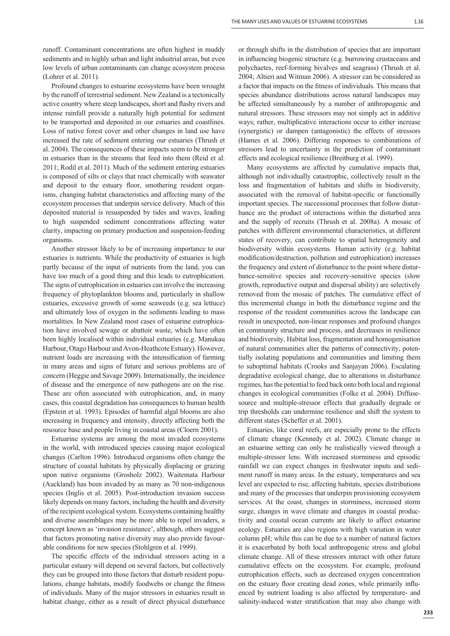runoff. Contaminant concentrations are often highest in muddy sediments and in highly urban and light industrial areas, but even low levels of urban contaminants can change ecosystem process (Lohrer et al. 2011).

Profound changes to estuarine ecosystems have been wrought by the runoff of terrestrial sediment. New Zealand is a tectonically active country where steep landscapes, short and flashy rivers and intense rainfall provide a naturally high potential for sediment to be transported and deposited in our estuaries and coastlines. Loss of native forest cover and other changes in land use have increased the rate of sediment entering our estuaries (Thrush et al. 2004). The consequences of these impacts seem to be stronger in estuaries than in the streams that feed into them (Reid et al. 2011; Rodil et al. 2011). Much of the sediment entering estuaries is composed of silts or clays that react chemically with seawater and deposit to the estuary floor, smothering resident organisms, changing habitat characteristics and affecting many of the ecosystem processes that underpin service delivery. Much of this deposited material is resuspended by tides and waves, leading to high suspended sediment concentrations affecting water clarity, impacting on primary production and suspension-feeding organisms.

Another stressor likely to be of increasing importance to our estuaries is nutrients. While the productivity of estuaries is high partly because of the input of nutrients from the land, you can have too much of a good thing and this leads to eutrophication. The signs of eutrophication in estuaries can involve the increasing frequency of phytoplankton blooms and, particularly in shallow estuaries, excessive growth of some seaweeds (e.g. sea lettuce) and ultimately loss of oxygen in the sediments leading to mass mortalities. In New Zealand most cases of estuarine eutrophication have involved sewage or abattoir waste, which have often been highly localised within individual estuaries (e.g. Manukau Harbour, Otago Harbour and Avon-Heathcote Estuary). However, nutrient loads are increasing with the intensification of farming in many areas and signs of future and serious problems are of concern (Heggie and Savage 2009). Internationally, the incidence of disease and the emergence of new pathogens are on the rise. These are often associated with eutrophication, and, in many cases, this coastal degradation has consequences to human health (Epstein et al. 1993). Episodes of harmful algal blooms are also increasing in frequency and intensity, directly affecting both the resource base and people living in coastal areas (Cloern 2001).

Estuarine systems are among the most invaded ecosystems in the world, with introduced species causing major ecological changes (Carlton 1996). Introduced organisms often change the structure of coastal habitats by physically displacing or grazing upon native organisms (Grosholz 2002). Waitemata Harbour (Auckland) has been invaded by as many as 70 non-indigenous species (Inglis et al. 2005). Post-introduction invasion success likely depends on many factors, including the health and diversity of the recipient ecological system. Ecosystems containing healthy and diverse assemblages may be more able to repel invaders, a concept known as 'invasion resistance', although, others suggest that factors promoting native diversity may also provide favourable conditions for new species (Stohlgren et al. 1999).

The specific effects of the individual stressors acting in a particular estuary will depend on several factors, but collectively they can be grouped into those factors that disturb resident populations, change habitats, modify foodwebs or change the fitness of individuals. Many of the major stressors in estuaries result in habitat change, either as a result of direct physical disturbance or through shifts in the distribution of species that are important in influencing biogenic structure (e.g. burrowing crustaceans and polychaetes, reef-forming bivalves and seagrass) (Thrush et al. 2004; Altieri and Witman 2006). A stressor can be considered as a factor that impacts on the fitness of individuals. This means that species abundance distributions across natural landscapes may be affected simultaneously by a number of anthropogenic and natural stressors. These stressors may not simply act in additive ways; rather, multiplicative interactions occur to either increase (synergistic) or dampen (antagonistic) the effects of stressors (Hames et al. 2006). Differing responses to combinations of stressors lead to uncertainty in the prediction of contaminant effects and ecological resilience (Breitburg et al. 1999).

Many ecosystems are affected by cumulative impacts that, although not individually catastrophic, collectively result in the loss and fragmentation of habitats and shifts in biodiversity, associated with the removal of habitat-specific or functionally important species. The successional processes that follow disturbance are the product of interactions within the disturbed area and the supply of recruits (Thrush et al. 2008a). A mosaic of patches with different environmental characteristics, at different states of recovery, can contribute to spatial heterogeneity and biodiversity within ecosystems. Human activity (e.g. habitat modification/destruction, pollution and eutrophication) increases the frequency and extent of disturbance to the point where disturbance-sensitive species and recovery-sensitive species (slow growth, reproductive output and dispersal ability) are selectively removed from the mosaic of patches. The cumulative effect of this incremental change in both the disturbance regime and the response of the resident communities across the landscape can result in unexpected, non-linear responses and profound changes in community structure and process, and decreases in resilience and biodiversity. Habitat loss, fragmentation and homogenisation of natural communities alter the patterns of connectivity, potentially isolating populations and communities and limiting them to suboptimal habitats (Crooks and Sanjayan 2006). Escalating degradative ecological change, due to alterations in disturbance regimes, has the potential to feed back onto both local and regional changes in ecological communities (Folke et al. 2004). Diffusesource and multiple-stressor effects that gradually degrade or trip thresholds can undermine resilience and shift the system to different states (Scheffer et al. 2001).

Estuaries, like coral reefs, are especially prone to the effects of climate change (Kennedy et al. 2002). Climate change in an estuarine setting can only be realistically viewed through a multiple-stressor lens. With increased storminess and episodic rainfall we can expect changes in freshwater inputs and sediment runoff in many areas. In the estuary, temperatures and sea level are expected to rise, affecting habitats, species distributions and many of the processes that underpin provisioning ecosystem services. At the coast, changes in storminess, increased storm surge, changes in wave climate and changes in coastal productivity and coastal ocean currents are likely to affect estuarine ecology. Estuaries are also regions with high variation in water column pH; while this can be due to a number of natural factors it is exacerbated by both local anthropogenic stress and global climate change. All of these stressors interact with other future cumulative effects on the ecosystem. For example, profound eutrophication effects, such as decreased oxygen concentration on the estuary floor creating dead zones, while primarily influenced by nutrient loading is also affected by temperature- and salinity-induced water stratification that may also change with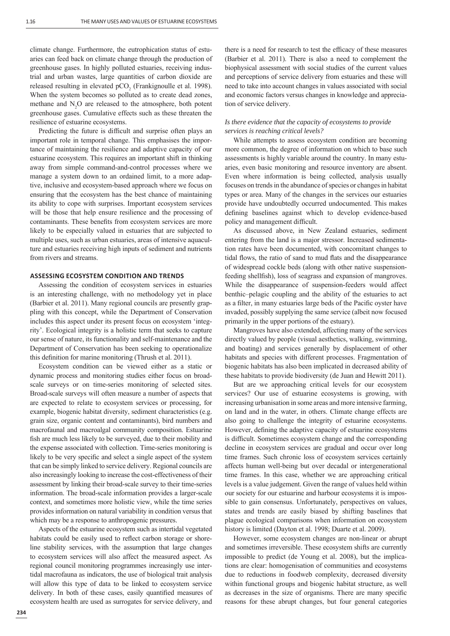climate change. Furthermore, the eutrophication status of estuaries can feed back on climate change through the production of greenhouse gases. In highly polluted estuaries, receiving industrial and urban wastes, large quantities of carbon dioxide are released resulting in elevated  $pCO<sub>2</sub>$  (Frankignoulle et al. 1998). When the system becomes so polluted as to create dead zones, methane and  $N_2O$  are released to the atmosphere, both potent greenhouse gases. Cumulative effects such as these threaten the resilience of estuarine ecosystems.

Predicting the future is difficult and surprise often plays an important role in temporal change. This emphasises the importance of maintaining the resilience and adaptive capacity of our estuarine ecosystem. This requires an important shift in thinking away from simple command-and-control processes where we manage a system down to an ordained limit, to a more adaptive, inclusive and ecosystem-based approach where we focus on ensuring that the ecosystem has the best chance of maintaining its ability to cope with surprises. Important ecosystem services will be those that help ensure resilience and the processing of contaminants. These benefits from ecosystem services are more likely to be especially valued in estuaries that are subjected to multiple uses, such as urban estuaries, areas of intensive aquaculture and estuaries receiving high inputs of sediment and nutrients from rivers and streams.

### **ASSESSING ECOSYSTEM CONDITION AND TRENDS**

Assessing the condition of ecosystem services in estuaries is an interesting challenge, with no methodology yet in place (Barbier et al. 2011). Many regional councils are presently grappling with this concept, while the Department of Conservation includes this aspect under its present focus on ecosystem 'integrity'. Ecological integrity is a holistic term that seeks to capture our sense of nature, its functionality and self-maintenance and the Department of Conservation has been seeking to operationalize this definition for marine monitoring (Thrush et al. 2011).

Ecosystem condition can be viewed either as a static or dynamic process and monitoring studies either focus on broadscale surveys or on time-series monitoring of selected sites. Broad-scale surveys will often measure a number of aspects that are expected to relate to ecosystem services or processing, for example, biogenic habitat diversity, sediment characteristics (e.g. grain size, organic content and contaminants), bird numbers and macrofaunal and macroalgal community composition. Estuarine fish are much less likely to be surveyed, due to their mobility and the expense associated with collection. Time-series monitoring is likely to be very specific and select a single aspect of the system that can be simply linked to service delivery. Regional councils are also increasingly looking to increase the cost-effectiveness of their assessment by linking their broad-scale survey to their time-series information. The broad-scale information provides a larger-scale context, and sometimes more holistic view, while the time series provides information on natural variability in condition versus that which may be a response to anthropogenic pressures.

Aspects of the estuarine ecosystem such as intertidal vegetated habitats could be easily used to reflect carbon storage or shoreline stability services, with the assumption that large changes to ecosystem services will also affect the measured aspect. As regional council monitoring programmes increasingly use intertidal macrofauna as indicators, the use of biological trait analysis will allow this type of data to be linked to ecosystem service delivery. In both of these cases, easily quantified measures of ecosystem health are used as surrogates for service delivery, and there is a need for research to test the efficacy of these measures (Barbier et al. 2011). There is also a need to complement the biophysical assessment with social studies of the current values and perceptions of service delivery from estuaries and these will need to take into account changes in values associated with social and economic factors versus changes in knowledge and appreciation of service delivery.

### *Is there evidence that the capacity of ecosystems to provide services is reaching critical levels?*

While attempts to assess ecosystem condition are becoming more common, the degree of information on which to base such assessments is highly variable around the country. In many estuaries, even basic monitoring and resource inventory are absent. Even where information is being collected, analysis usually focuses on trends in the abundance of species or changes in habitat types or area. Many of the changes in the services our estuaries provide have undoubtedly occurred undocumented. This makes defining baselines against which to develop evidence-based policy and management difficult.

As discussed above, in New Zealand estuaries, sediment entering from the land is a major stressor. Increased sedimentation rates have been documented, with concomitant changes to tidal flows, the ratio of sand to mud flats and the disappearance of widespread cockle beds (along with other native suspensionfeeding shellfish), loss of seagrass and expansion of mangroves. While the disappearance of suspension-feeders would affect benthic–pelagic coupling and the ability of the estuaries to act as a filter, in many estuaries large beds of the Pacific oyster have invaded, possibly supplying the same service (albeit now focused primarily in the upper portions of the estuary).

Mangroves have also extended, affecting many of the services directly valued by people (visual aesthetics, walking, swimming, and boating) and services generally by displacement of other habitats and species with different processes. Fragmentation of biogenic habitats has also been implicated in decreased ability of these habitats to provide biodiversity (de Juan and Hewitt 2011).

But are we approaching critical levels for our ecosystem services? Our use of estuarine ecosystems is growing, with increasing urbanisation in some areas and more intensive farming, on land and in the water, in others. Climate change effects are also going to challenge the integrity of estuarine ecosystems. However, defining the adaptive capacity of estuarine ecosystems is difficult. Sometimes ecosystem change and the corresponding decline in ecosystem services are gradual and occur over long time frames. Such chronic loss of ecosystem services certainly affects human well-being but over decadal or intergenerational time frames. In this case, whether we are approaching critical levels is a value judgement. Given the range of values held within our society for our estuarine and harbour ecosystems it is impossible to gain consensus. Unfortunately, perspectives on values, states and trends are easily biased by shifting baselines that plague ecological comparisons when information on ecosystem history is limited (Dayton et al. 1998; Duarte et al. 2009).

However, some ecosystem changes are non-linear or abrupt and sometimes irreversible. These ecosystem shifts are currently impossible to predict (de Young et al. 2008), but the implications are clear: homogenisation of communities and ecosystems due to reductions in foodweb complexity, decreased diversity within functional groups and biogenic habitat structure, as well as decreases in the size of organisms. There are many specific reasons for these abrupt changes, but four general categories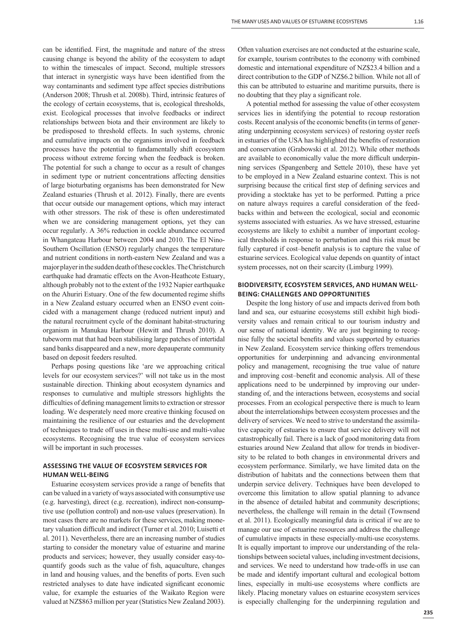can be identified. First, the magnitude and nature of the stress causing change is beyond the ability of the ecosystem to adapt to within the timescales of impact. Second, multiple stressors that interact in synergistic ways have been identified from the way contaminants and sediment type affect species distributions (Anderson 2008; Thrush et al. 2008b). Third, intrinsic features of the ecology of certain ecosystems, that is, ecological thresholds, exist. Ecological processes that involve feedbacks or indirect relationships between biota and their environment are likely to be predisposed to threshold effects. In such systems, chronic and cumulative impacts on the organisms involved in feedback processes have the potential to fundamentally shift ecosystem process without extreme forcing when the feedback is broken. The potential for such a change to occur as a result of changes in sediment type or nutrient concentrations affecting densities of large bioturbating organisms has been demonstrated for New Zealand estuaries (Thrush et al. 2012). Finally, there are events that occur outside our management options, which may interact with other stressors. The risk of these is often underestimated when we are considering management options, yet they can occur regularly. A 36% reduction in cockle abundance occurred in Whangateau Harbour between 2004 and 2010. The El Nino-Southern Oscillation (ENSO) regularly changes the temperature and nutrient conditions in north-eastern New Zealand and was a major player in the sudden death of these cockles. The Christchurch earthquake had dramatic effects on the Avon-Heathcote Estuary, although probably not to the extent of the 1932 Napier earthquake on the Ahuriri Estuary. One of the few documented regime shifts in a New Zealand estuary occurred when an ENSO event coincided with a management change (reduced nutrient input) and the natural recruitment cycle of the dominant habitat-structuring organism in Manukau Harbour (Hewitt and Thrush 2010). A tubeworm mat that had been stabilising large patches of intertidal sand banks disappeared and a new, more depauperate community based on deposit feeders resulted.

Perhaps posing questions like 'are we approaching critical levels for our ecosystem services?' will not take us in the most sustainable direction. Thinking about ecosystem dynamics and responses to cumulative and multiple stressors highlights the difficulties of defining management limits to extraction or stressor loading. We desperately need more creative thinking focused on maintaining the resilience of our estuaries and the development of techniques to trade off uses in these multi-use and multi-value ecosystems. Recognising the true value of ecosystem services will be important in such processes.

### **ASSESSING THE VALUE OF ECOSYSTEM SERVICES FOR HUMAN WELLͳBEING**

Estuarine ecosystem services provide a range of benefits that can be valued in a variety of ways associated with consumptive use (e.g. harvesting), direct (e.g. recreation), indirect non-consumptive use (pollution control) and non-use values (preservation). In most cases there are no markets for these services, making monetary valuation difficult and indirect (Turner et al. 2010; Luisetti et al. 2011). Nevertheless, there are an increasing number of studies starting to consider the monetary value of estuarine and marine products and services; however, they usually consider easy-toquantify goods such as the value of fish, aquaculture, changes in land and housing values, and the benefits of ports. Even such restricted analyses to date have indicated significant economic value, for example the estuaries of the Waikato Region were valued at NZ\$863 million per year (Statistics New Zealand 2003). Often valuation exercises are not conducted at the estuarine scale, for example, tourism contributes to the economy with combined domestic and international expenditure of NZ\$23.4 billion and a direct contribution to the GDP of NZ\$6.2 billion. While not all of this can be attributed to estuarine and maritime pursuits, there is no doubting that they play a significant role.

A potential method for assessing the value of other ecosystem services lies in identifying the potential to recoup restoration costs. Recent analysis of the economic benefits (in terms of generating underpinning ecosystem services) of restoring oyster reefs in estuaries of the USA has highlighted the benefits of restoration and conservation (Grabowski et al. 2012). While other methods are available to economically value the more difficult underpinning services (Spangenberg and Settele 2010), these have yet to be employed in a New Zealand estuarine context. This is not surprising because the critical first step of defining services and providing a stocktake has yet to be performed. Putting a price on nature always requires a careful consideration of the feedbacks within and between the ecological, social and economic systems associated with estuaries. As we have stressed, estuarine ecosystems are likely to exhibit a number of important ecological thresholds in response to perturbation and this risk must be fully captured if cost-benefit analysis is to capture the value of estuarine services. Ecological value depends on quantity of intact system processes, not on their scarcity (Limburg 1999).

# **BIODIVERSITY, ECOSYSTEM SERVICES, AND HUMAN WELL-BEING: CHALLENGES AND OPPORTUNITIES**

Despite the long history of use and impacts derived from both land and sea, our estuarine ecosystems still exhibit high biodiversity values and remain critical to our tourism industry and our sense of national identity. We are just beginning to recognise fully the societal benefits and values supported by estuaries in New Zealand. Ecosystem service thinking offers tremendous opportunities for underpinning and advancing environmental policy and management, recognising the true value of nature and improving cost–benefit and economic analysis. All of these applications need to be underpinned by improving our understanding of, and the interactions between, ecosystems and social processes. From an ecological perspective there is much to learn about the interrelationships between ecosystem processes and the delivery of services. We need to strive to understand the assimilative capacity of estuaries to ensure that service delivery will not catastrophically fail. There is a lack of good monitoring data from estuaries around New Zealand that allow for trends in biodiversity to be related to both changes in environmental drivers and ecosystem performance. Similarly, we have limited data on the distribution of habitats and the connections between them that underpin service delivery. Techniques have been developed to overcome this limitation to allow spatial planning to advance in the absence of detailed habitat and community descriptions; nevertheless, the challenge will remain in the detail (Townsend et al. 2011). Ecologically meaningful data is critical if we are to manage our use of estuarine resources and address the challenge of cumulative impacts in these especially-multi-use ecosystems. It is equally important to improve our understanding of the relationships between societal values, including investment decisions, and services. We need to understand how trade-offs in use can be made and identify important cultural and ecological bottom lines, especially in multi-use ecosystems where conflicts are likely. Placing monetary values on estuarine ecosystem services is especially challenging for the underpinning regulation and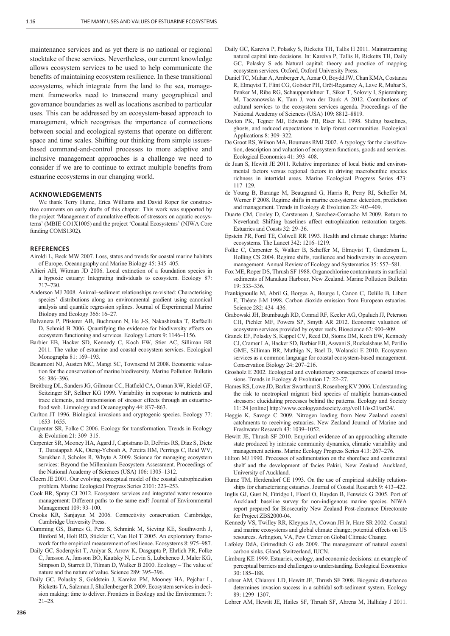maintenance services and as yet there is no national or regional stocktake of these services. Nevertheless, our current knowledge allows ecosystem services to be used to help communicate the benefits of maintaining ecosystem resilience. In these transitional ecosystems, which integrate from the land to the sea, management frameworks need to transcend many geographical and governance boundaries as well as locations ascribed to particular uses. This can be addressed by an ecosystem-based approach to management, which recognises the importance of connections between social and ecological systems that operate on different space and time scales. Shifting our thinking from simple issuesbased command-and-control processes to more adaptive and inclusive management approaches is a challenge we need to consider if we are to continue to extract multiple benefits from estuarine ecosystems in our changing world.

### **ACKNOWLEDGEMENTS**

We thank Terry Hume, Erica Williams and David Roper for constructive comments on early drafts of this chapter. This work was supported by the project 'Management of cumulative effects of stressors on aquatic ecosystems' (MBIE CO1X1005) and the project 'Coastal Ecosystems' (NIWA Core funding COMS1302).

#### **REFERENCES**

- Airoldi L, Beck MW 2007. Loss, status and trends for coastal marine habitats of Europe. Oceanography and Marine Biology 45: 345–405.
- Altieri AH, Witman JD 2006. Local extinction of a foundation species in a hypoxic estuary: Integrating individuals to ecosystem. Ecology 87: 717–730.
- Anderson MJ 2008. Animal–sediment relationships re-visited: Characterising species' distributions along an environmental gradient using canonical analysis and quantile regression splines. Journal of Experimental Marine Biology and Ecology 366: 16–27.
- Balvanera P, Pfisterer AB, Buchmann N, He J-S, Nakashizuka T, Raffaelli D, Schmid B 2006. Quantifying the evidence for biodiversity effects on ecosystem functioning and services. Ecology Letters 9: 1146–1156.
- Barbier EB, Hacker SD, Kennedy C, Koch EW, Stier AC, Silliman BR 2011. The value of estuarine and coastal ecosystem services. Ecological Monographs 81: 169–193.
- Beaumont NJ, Austen MC, Mangi SC, Townsend M 2008. Economic valuation for the conservation of marine biodiversity. Marine Pollution Bulletin 56: 386–396.
- Breitburg DL, Sanders JG, Gilmour CC, Hatfield CA, Osman RW, Riedel GF, Seitzinger SP, Sellner KG 1999. Variability in response to nutrients and trace elements, and transmission of stressor effects through an estuarinefood web. Limnology and Oceanography 44: 837–863.
- Carlton JT 1996. Biological invasions and cryptogenic species. Ecology 77: 1653–1655.
- Carpenter SR, Folke C 2006. Ecology for transformation. Trends in Ecology & Evolution 21: 309–315.
- Carpenter SR, Mooney HA, Agard J, Capistrano D, DeFries RS, Diaz S, Dietz T, Duraiappah AK, Oteng-Yeboah A, Pereira HM, Perrings C, Reid WV, Sarukhan J, Scholes R, Whyte A 2009. Science for managing ecosystem services: Beyond the Millennium Ecosystem Assessment. Proceedings of the National Academy of Sciences (USA) 106: 1305–1312.
- Cloern JE 2001. Our evolving conceptual model of the coastal eutrophication problem. Marine Ecological Progress Series 2101: 223–253.
- Cook BR, Spray CJ 2012. Ecosystem services and integrated water resource management: Different paths to the same end? Journal of Environmental Management 109: 93–100.
- Crooks KR, Sanjayan M 2006. Connectivity conservation. Cambridge, Cambridge University Press.
- Cumming GS, Barnes G, Perz S, Schmink M, Sieving KE, Southworth J, Binford M, Holt RD, Stickler C, Van Hol T 2005. An exploratory framework for the empirical measurement of resilience. Ecosystems 8: 975–987.
- Daily GC, Soderqvist T, Aniyar S, Arrow K, Dasgupta P, Ehrlich PR, Folke C, Jansson A, Jansson BO, Kautsky N, Levin S, Lubchenco J, Maler KG, Simpson D, Starrett D, Tilman D, Walker B 2000. Ecology – The value of nature and the nature of value. Science 289: 395–396.
- Daily GC, Polasky S, Goldstein J, Kareiva PM, Mooney HA, Pejchar L, Ricketts TA, Salzman J, Shallenberger R 2009. Ecosystem services in decision making: time to deliver. Frontiers in Ecology and the Environment 7: 21–28.
- Daily GC, Kareiva P, Polasky S, Ricketts TH, Tallis H 2011. Mainstreaming natural capital into decisions. In: Kareiva P, Tallis H, Ricketts TH, Daily GC, Polasky S eds Natural capital: theory and practice of mapping ecosystem services. Oxford, Oxford University Press.
- Daniel TC, Muhar A, Arnberger A, Aznar O, Boydd JW, Chan KMA, Costanza R, Elmqvist T, Flint CG, Gobster PH, Grêt-Regamey A, Lave R, Muhar S, Penker M, Ribe RG, Schauppenlehner T, Sikor T, Soloviy I, Spierenburg M, Taczanowska K, Tam J, von der Dunk A 2012. Contributions of cultural services to the ecosystem services agenda. Proceedings of the National Academy of Sciences (USA) 109: 8812–8819.
- Dayton PK, Tegner MJ, Edwards PB, Riser KL 1998. Sliding baselines, ghosts, and reduced expectations in kelp forest communities. Ecological Applications 8: 309–322.
- De Groot RS, Wilson MA, Boumans RMJ 2002. A typology for the classification, description and valuation of ecosystem functions, goods and services. Ecological Economics 41: 393–408.
- de Juan S, Hewitt JE 2011. Relative importance of local biotic and environmental factors versus regional factors in driving macrobenthic species richness in intertidal areas. Marine Ecological Progress Series 423: 117–129.
- de Young B, Barange M, Beaugrand G, Harris R, Perry RI, Scheffer M, Werner F 2008. Regime shifts in marine ecosystems: detection, prediction and management. Trends in Ecology & Evolution 23: 403–409.
- Duarte CM, Conley D, Carstensen J, Sanchez-Comacho M 2009. Return to Neverland: Shifting baselines affect eutrophication restoration targets. Estuaries and Coasts 32: 29–36.
- Epstein PR, Ford TE, Colwell RR 1993. Health and climate change: Marine ecosystems. The Lancet 342: 1216–1219.
- Folke C, Carpenter S, Walker B, Scheffer M, Elmqvist T, Gunderson L, Holling CS 2004. Regime shifts, resilience and biodiversity in ecosystem management. Annual Review of Ecology and Systematics 35: 557–581.
- Fox ME, Roper DS, Thrush SF 1988. Organochlorine contaminants in surficial sediments of Manukau Harbour, New Zealand. Marine Pollution Bulletin 19: 333–336.
- Frankignoulle M, Abril G, Borges A, Bourge I, Canon C, Delille B, Libert E, Théate J-M 1998. Carbon dioxide emission from European estuaries. Science 282: 434–436.
- Grabowski JH, Brumbaugh RD, Conrad RF, Keeler AG, Opaluch JJ, Peterson CH, Piehler MF, Powers SP, Smyth AR 2012. Economic valuation of ecosystem services provided by oyster reefs. Bioscience 62: 900–909.
- Granek EF, Polasky S, Kappel CV, Reed DJ, Stoms DM, Koch EW, Kennedy CJ, Cramer LA, Hacker SD, Barbier EB, Aswani S, Ruckelshaus M, Perillo GME, Silliman BR, Muthiga N, Bael D, Wolanski E 2010. Ecosystem services as a common language for coastal ecosystem-based management. Conservation Biology 24: 207–216.
- Grosholz E 2002. Ecological and evolutionary consequences of coastal invasions. Trends in Ecology & Evolution 17: 22–27.
- Hames RS, Lowe JD, Barker Swarthout S, Rosenberg KV 2006. Understanding the risk to neotropical migrant bird species of multiple human-caused stressors: elucidating processes behind the patterns. Ecology and Society 11: 24 [online] http://www.ecologyandsociety.org/vol11/iss21/art24/.
- Heggie K, Savage C 2009. Nitrogen loading from New Zealand coastal catchments to receiving estuaries. New Zealand Journal of Marine and Freshwater Research 43: 1039–1052.
- Hewitt JE, Thrush SF 2010. Empirical evidence of an approaching alternate state produced by intrinsic community dynamics, climatic variability and management actions. Marine Ecology Progress Series 413: 267–276.
- Hilton MJ 1990. Processes of sedimentation on the shoreface and continental shelf and the development of facies Pakiri, New Zealand. Auckland, University of Auckland.
- Hume TM, Herdendorf CE 1993. On the use of empirical stability relationships for characterising estuaries. Journal of Coastal Research 9: 413–422.
- Inglis GJ, Gust N, Fitridge I, Floerl O, Hayden B, Fenwick G 2005. Port of Auckland: baseline survey for non-indigenous marine species. NIWA report prepared for Biosecurity New Zealand Post-clearance Directorate for Project ZBS2000-04.
- Kennedy VS, Twilley RR, Kleypas JA, Cowan JH Jr, Hare SR 2002. Coastal and marine ecosystems and global climate change; potential effects on US resources. Arlington, VA, Pew Center on Global Climate Change.
- Lafoley DdA, Grimsditch G eds 2009. The management of natural coastal carbon sinks. Gland, Switzerland, IUCN.
- Limburg KE 1999. Estuaries, ecology, and economic decisions: an example of perceptual barriers and challenges to understanding. Ecological Economics 30: 185–188.
- Lohrer AM, Chiaroni LD, Hewitt JE, Thrush SF 2008. Biogenic disturbance determines invasion success in a subtidal soft-sediment system. Ecology 89: 1299–1307.
- Lohrer AM, Hewitt JE, Hailes SF, Thrush SF, Ahrens M, Halliday J 2011.